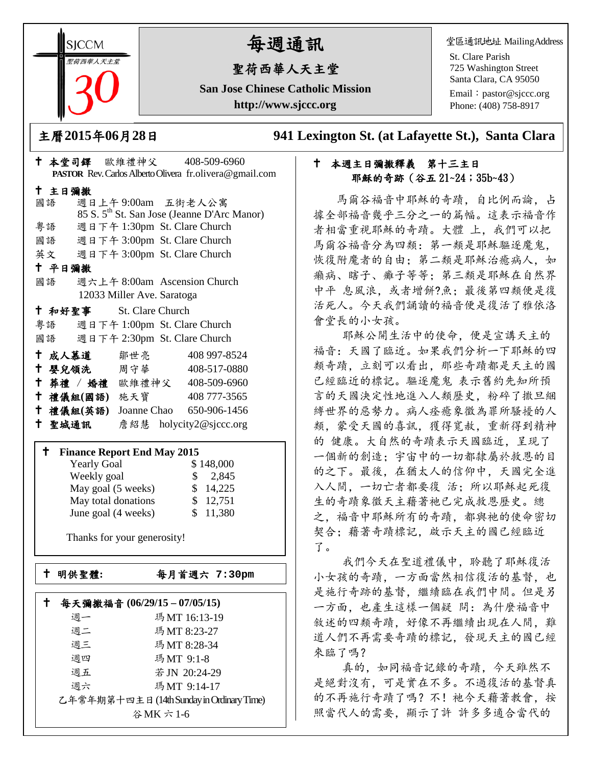**SICCM** 病西華人天主堂 

# 每週通訊

# 聖荷西華人天主堂

**San Jose Chinese Catholic Mission http://www.sjccc.org**

堂區通訊地址 MailingAddress

St. Clare Parish 725 Washington Street Santa Clara, CA 95050

Email: [pastor@sjccc.org](mailto:pastor@sjccc.org) Phone: (408) 758-8917

主曆**2015**年**06**月**28**日 **941 Lexington St. (at Lafayette St.), Santa Clara** 

### 本週主日彌撒釋義 第十三主日 耶穌的奇跡(谷五 21~24;35b~43)

 馬爾谷福音中耶穌的奇蹟,自比例而論,占 據全部福音幾乎三分之一的篇幅。這表示福音作 者相當重視耶穌的奇蹟。大體 上,我們可以把 馬爾谷福音分為四類:第一類是耶穌驅逐魔鬼, 恢復附魔者的自由;第二類是耶穌治癒病人,如 癩病、瞎子、癱子等等;第三類是耶穌在自然界 中平 息風浪,或者增餅?魚:最後第四類便是復 活死人。今天我們誦讀的福音便是復活了雅依洛 會堂長的小女孩。

 耶穌公開生活中的使命,便是宣講天主的 福音:天國了臨近。如果我們分析一下耶穌的四 類奇蹟,立刻可以看出,那些奇蹟都是天主的國 已經臨近的標記。驅逐魔鬼 表示舊約先知所預 言的天國決定性地進入人類歷史,粉碎了撒旦綑 縛世界的惡勢力。病人痊癒象徵為罪所騷擾的人 類,蒙受天國的喜訊,獲得寬赦,重新得到精神 的 健康。大自然的奇蹟表示天國臨近,呈現了 一個新的創造;宇宙中的一切都隸屬於救恩的目 的之下。最後,在猶太人的信仰中,天國完全進 入人間, 一切亡者都要復 活; 所以耶穌起死復 生的奇蹟象徵天主藉著祂已完成救恩歷史。總 之,福音中耶穌所有的奇蹟,都與祂的使命密切 契合;藉著奇蹟標記, 啟示天主的國已經臨近 了。

我們今天在聖道禮儀中,聆聽了耶穌復活 小女孩的奇蹟,一方面當然相信復活的基督,也 是施行奇跡的基督,繼續臨在我們中間。但是另 一方面,也產生這樣一個疑 問:為什麼福音中 敘述的四類奇蹟,好像不再繼續出現在人間,難 道人們不再需要奇蹟的標記,發現天主的國已經 來臨了嗎?

真的,如同福音記錄的奇蹟,今天雖然不 是絕對沒有,可是實在不多。不過復活的基督真 的不再施行奇蹟了嗎?不! 祂今天藉著教會, 按 照當代人的需要, 顯示了許 許多多適合當代的

| † 本堂司鐸 歐維禮神父 408-509-6960<br>PASTOR Rev. Carlos Alberto Olivera fr.olivera@gmail.com |
|--------------------------------------------------------------------------------------|
| 十 主日彌撒                                                                               |
| 週日上午9:00am 五街老人公寓<br>國語                                                              |
| 85 S. 5 <sup>th</sup> St. San Jose (Jeanne D'Arc Manor)                              |
| 週日下午 1:30pm St. Clare Church<br>粤語                                                   |
| 國語 週日下午 3:00pm St. Clare Church                                                      |
| 英文 週日下午 3:00pm St. Clare Church                                                      |
| 十 平日彌撒                                                                               |
| 週六上午 8:00am Ascension Church<br>國語                                                   |
| 12033 Miller Ave. Saratoga                                                           |
| 十 和好聖事<br>St. Clare Church                                                           |
| 粤語 週日下午 1:00pm St. Clare Church                                                      |
| 週日下午 2:30pm St. Clare Church<br>國語                                                   |
| 408 997-8524                                                                         |
| † 成人慕道   鄒世亮<br>† 嬰兒領洗   周守華<br>408-517-0880                                         |
| † 葬禮 / 婚禮 歐維禮神父 408-509-6960                                                         |
| 十 禮儀組(國語) 施天寶<br>408 777-3565                                                        |
| † 禮儀組(英語) Joanne Chao 650-906-1456                                                   |
| + 聖城通訊 詹紹慧 holycity2@sjccc.org                                                       |
|                                                                                      |
| $^{\dagger}$<br><b>Finance Report End May 2015</b>                                   |
| <b>Yearly Goal</b><br>\$148,000                                                      |
| Weekly goal<br>$\frac{1}{2}$<br>2,845                                                |
| \$14,225<br>May goal (5 weeks)                                                       |
| \$12,751<br>May total donations                                                      |
| $\mathbb{S}$<br>June goal (4 weeks)<br>11,380                                        |
| Thanks for your generosity!                                                          |
| $\mathbf t$<br>每月首週六 7:30pm<br>明供聖體:                                                 |
|                                                                                      |
| $^\dagger$<br>每天彌撒福音 (06/29/15-07/05/15)                                             |
| 瑪MT 16:13-19<br>週一                                                                   |

週二 瑪MT 8:23-27 週三 瑪MT 8:28-34 週四 瑪MT 9:1-8 週五 若IN  $20.24-29$ 週六 瑪MT 9:14-17

乙年常年期第十四主日(14thSunday in Ordinary Time) 谷MK 六1-6

 $\mathbb{R}^n$